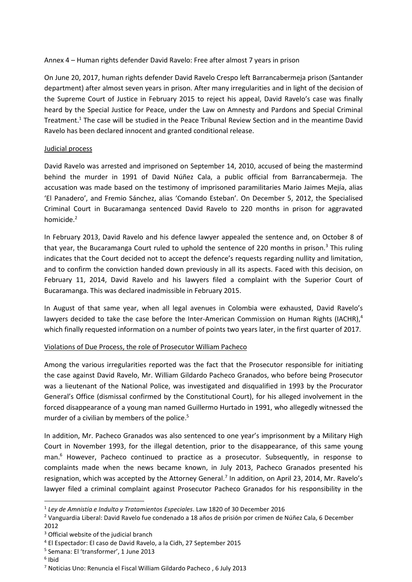Annex 4 – Human rights defender David Ravelo: Free after almost 7 years in prison

On June 20, 2017, human rights defender David Ravelo Crespo left Barrancabermeja prison (Santander department) after almost seven years in prison. After many irregularities and in light of the decision of the Supreme Court of Justice in February 2015 to reject his appeal, David Ravelo's case was finally heard by the Special Justice for Peace, under the Law on Amnesty and Pardons and Special Criminal Treatment.<sup>1</sup> The case will be studied in the Peace Tribunal Review Section and in the meantime David Ravelo has been declared innocent and granted conditional release.

## Judicial process

David Ravelo was arrested and imprisoned on September 14, 2010, accused of being the mastermind behind the murder in 1991 of David Núñez Cala, a public official from Barrancabermeja. The accusation was made based on the testimony of imprisoned paramilitaries Mario Jaimes Mejía, alias 'El Panadero', and Fremio Sánchez, alias 'Comando Esteban'. On December 5, 2012, the Specialised Criminal Court in Bucaramanga sentenced David Ravelo to 220 months in prison for aggravated homicide.<sup>2</sup>

In February 2013, David Ravelo and his defence lawyer appealed the sentence and, on October 8 of that year, the Bucaramanga Court ruled to uphold the sentence of 220 months in prison. $3$  This ruling indicates that the Court decided not to accept the defence's requests regarding nullity and limitation, and to confirm the conviction handed down previously in all its aspects. Faced with this decision, on February 11, 2014, David Ravelo and his lawyers filed a complaint with the Superior Court of Bucaramanga. This was declared inadmissible in February 2015.

In August of that same year, when all legal avenues in Colombia were exhausted, David Ravelo's lawyers decided to take the case before the Inter-American Commission on Human Rights (IACHR), $4$ which finally requested information on a number of points two years later, in the first quarter of 2017.

## Violations of Due Process, the role of Prosecutor William Pacheco

Among the various irregularities reported was the fact that the Prosecutor responsible for initiating the case against David Ravelo, Mr. William Gildardo Pacheco Granados, who before being Prosecutor was a lieutenant of the National Police, was investigated and disqualified in 1993 by the Procurator General's Office (dismissal confirmed by the Constitutional Court), for his alleged involvement in the forced disappearance of a young man named Guillermo Hurtado in 1991, who allegedly witnessed the murder of a civilian by members of the police. 5

In addition, Mr. Pacheco Granados was also sentenced to one year's imprisonment by a Military High Court in November 1993, for the illegal detention, prior to the disappearance, of this same young man.<sup>6</sup> However, Pacheco continued to practice as a prosecutor. Subsequently, in response to complaints made when the news became known, in July 2013, Pacheco Granados presented his resignation, which was accepted by the Attorney General.<sup>7</sup> In addition, on April 23, 2014, Mr. Ravelo's lawyer filed a criminal complaint against Prosecutor Pacheco Granados for his responsibility in the

6 Ibid

 $\overline{a}$ 

<sup>1</sup> *Ley de Amnistía e Indulto y Tratamientos Especiales*. Law 1820 of 30 December 2016

<sup>2</sup> Vanguardia Liberal: David Ravelo fue condenado a 18 años de prisión por crimen de Núñez Cala, 6 December 2012

<sup>&</sup>lt;sup>3</sup> Official website of the judicial branch

<sup>4</sup> El Espectador: El caso de David Ravelo, a la Cidh, 27 September 2015

<sup>5</sup> Semana: El 'transformer', 1 June 2013

<sup>7</sup> Noticias Uno: Renuncia el Fiscal William Gildardo Pacheco , 6 July 2013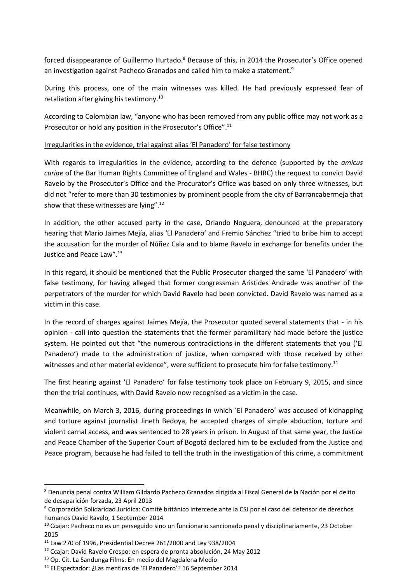forced disappearance of Guillermo Hurtado.<sup>8</sup> Because of this, in 2014 the Prosecutor's Office opened an investigation against Pacheco Granados and called him to make a statement. 9

During this process, one of the main witnesses was killed. He had previously expressed fear of retaliation after giving his testimony. 10

According to Colombian law, "anyone who has been removed from any public office may not work as a Prosecutor or hold any position in the Prosecutor's Office".<sup>11</sup>

## Irregularities in the evidence, trial against alias 'El Panadero' for false testimony

With regards to irregularities in the evidence, according to the defence (supported by the *amicus curiae* of the Bar Human Rights Committee of England and Wales - BHRC) the request to convict David Ravelo by the Prosecutor's Office and the Procurator's Office was based on only three witnesses, but did not "refer to more than 30 testimonies by prominent people from the city of Barrancabermeja that show that these witnesses are lying".<sup>12</sup>

In addition, the other accused party in the case, Orlando Noguera, denounced at the preparatory hearing that Mario Jaimes Mejía, alias 'El Panadero' and Fremio Sánchez "tried to bribe him to accept the accusation for the murder of Núñez Cala and to blame Ravelo in exchange for benefits under the Justice and Peace Law". 13

In this regard, it should be mentioned that the Public Prosecutor charged the same 'El Panadero' with false testimony, for having alleged that former congressman Aristides Andrade was another of the perpetrators of the murder for which David Ravelo had been convicted. David Ravelo was named as a victim in this case.

In the record of charges against Jaimes Mejía, the Prosecutor quoted several statements that - in his opinion - call into question the statements that the former paramilitary had made before the justice system. He pointed out that "the numerous contradictions in the different statements that you ('El Panadero') made to the administration of justice, when compared with those received by other witnesses and other material evidence", were sufficient to prosecute him for false testimony.<sup>14</sup>

The first hearing against 'El Panadero' for false testimony took place on February 9, 2015, and since then the trial continues, with David Ravelo now recognised as a victim in the case.

Meanwhile, on March 3, 2016, during proceedings in which ´El Panadero´ was accused of kidnapping and torture against journalist Jineth Bedoya, he accepted charges of simple abduction, torture and violent carnal access, and was sentenced to 28 years in prison. In August of that same year, the Justice and Peace Chamber of the Superior Court of Bogotá declared him to be excluded from the Justice and Peace program, because he had failed to tell the truth in the investigation of this crime, a commitment

 $\ddot{\phantom{a}}$ 

<sup>8</sup> Denuncia penal contra William Gildardo Pacheco Granados dirigida al Fiscal General de la Nación por el delito de desaparición forzada, 23 April 2013

<sup>9</sup> Corporación Solidaridad Jurídica: Comité británico intercede ante la CSJ por el caso del defensor de derechos humanos David Ravelo, 1 September 2014

<sup>&</sup>lt;sup>10</sup> Ccajar: Pacheco no es un perseguido sino un funcionario sancionado penal y disciplinariamente, 23 October 2015

<sup>11</sup> Law 270 of 1996, Presidential Decree 261/2000 and Ley 938/2004

<sup>12</sup> Ccajar: David Ravelo Crespo: en espera de pronta absolución, 24 May 2012

<sup>13</sup> Op. Cit. La Sandunga Films: En medio del Magdalena Medio

<sup>14</sup> El Espectador: ¿Las mentiras de 'El Panadero'? 16 September 2014